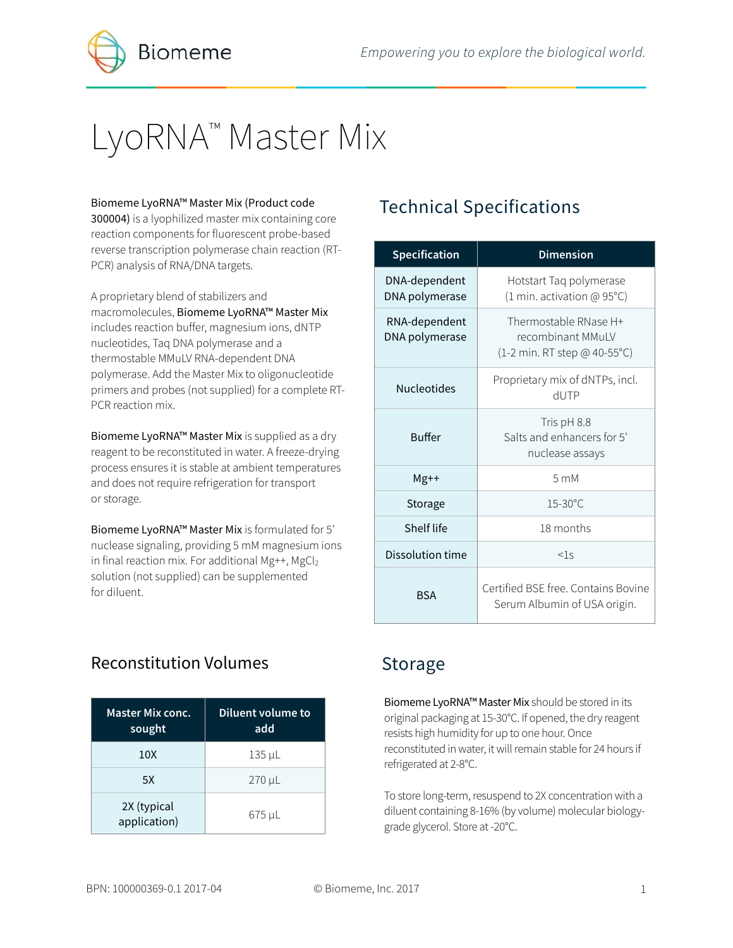

# LyoRNA<sup>™</sup> Master Mix

#### Biomeme LyoRNA™ Master Mix (Product code

300004) is a lyophilized master mix containing core reaction components for fluorescent probe-based reverse transcription polymerase chain reaction (RT-PCR) analysis of RNA/DNA targets.

A proprietary blend of stabilizers and macromolecules, Biomeme LyoRNA™ Master Mix includes reaction buffer, magnesium ions, dNTP nucleotides, Taq DNA polymerase and a thermostable MMuLV RNA-dependent DNA polymerase. Add the Master Mix to oligonucleotide primers and probes (not supplied) for a complete RT-PCR reaction mix.

Biomeme LyoRNA™ Master Mix is supplied as a dry reagent to be reconstituted in water. A freeze-drying process ensures it is stable at ambient temperatures and does not require refrigeration for transport or storage.

Biomeme LyoRNA™ Master Mix is formulated for 5' nuclease signaling, providing 5 mM magnesium ions in final reaction mix. For additional Mg++, MgCl<sub>2</sub> solution (not supplied) can be supplemented for diluent.

# Technical Specifications

| Specification                   | <b>Dimension</b>                                                           |  |
|---------------------------------|----------------------------------------------------------------------------|--|
| DNA-dependent<br>DNA polymerase | Hotstart Taq polymerase<br>(1 min. activation @ 95°C)                      |  |
| RNA-dependent<br>DNA polymerase | Thermostable RNase H+<br>recombinant MMuLV<br>(1-2 min. RT step @ 40-55°C) |  |
| <b>Nucleotides</b>              | Proprietary mix of dNTPs, incl.<br><b>HUTP</b>                             |  |
| <b>Buffer</b>                   | Tris pH 8.8<br>Salts and enhancers for 5'<br>nuclease assays               |  |
| $Mg++$                          | 5 <sub>mM</sub>                                                            |  |
| Storage                         | $15 - 30^{\circ}$ C                                                        |  |
| Shelf life                      | 18 months                                                                  |  |
| Dissolution time                | $<$ 1.5                                                                    |  |
| <b>BSA</b>                      | Certified BSE free, Contains Bovine<br>Serum Albumin of USA origin.        |  |

### Reconstitution Volumes

| <b>Master Mix conc.</b><br>sought | Diluent volume to<br>add |
|-----------------------------------|--------------------------|
| 10 <sub>X</sub>                   | $135 \mu L$              |
| 5X                                | 270 µL                   |
| 2X (typical<br>application)       | 675 µL                   |

### Storage

Biomeme LyoRNA™ Master Mix should be stored in its original packaging at 15-30°C. If opened, the dry reagent resists high humidity for up to one hour. Once reconstituted in water, it will remain stable for 24 hours if refrigerated at 2-8°C.

To store long-term, resuspend to 2X concentration with a diluent containing 8-16% (by volume) molecular biologygrade glycerol. Store at -20°C.